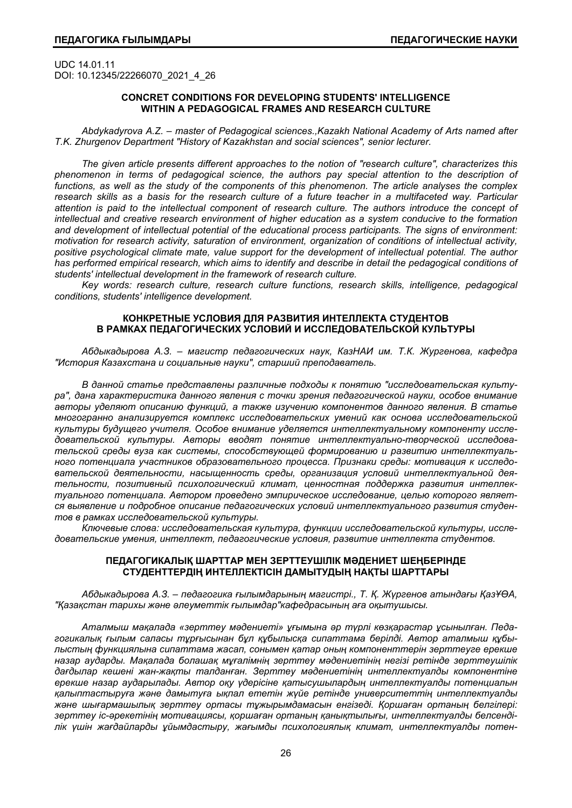UDC 14.01.11 DOI: 10.12345/22266070\_2021\_4\_26

## **CONCRET CONDITIONS FOR DEVELOPING STUDENTS' INTELLIGENCE WITHIN A PEDAGOGICAL FRAMES AND RESEARCH CULTURE**

*Abdykadyrova A.Z. – master of Pedagogical sciences.,Kazakh National Academy of Arts named after T.K. Zhurgenov Department "History of Kazakhstan and social sciences", senior lecturer.* 

*The given article presents different approaches to the notion of "research culture", characterizes this phenomenon in terms of pedagogical science, the authors pay special attention to the description of functions, as well as the study of the components of this phenomenon. The article analyses the complex research skills as a basis for the research culture of a future teacher in a multifaceted way. Particular attention is paid to the intellectual component of research culture. The authors introduce the concept of intellectual and creative research environment of higher education as a system conducive to the formation and development of intellectual potential of the educational process participants. The signs of environment: motivation for research activity, saturation of environment, organization of conditions of intellectual activity, positive psychological climate mate, value support for the development of intellectual potential. The author*  has performed empirical research, which aims to identify and describe in detail the pedagogical conditions of *students' intellectual development in the framework of research culture.* 

*Key words: research culture, research culture functions, research skills, intelligence, pedagogical conditions, students' intelligence development.* 

## **КОНКРЕТНЫЕ УСЛОВИЯ ДЛЯ РАЗВИТИЯ ИНТЕЛЛЕКТА СТУДЕНТОВ В РАМКАХ ПЕДАГОГИЧЕСКИХ УСЛОВИЙ И ИССЛЕДОВАТЕЛЬСКОЙ КУЛЬТУРЫ**

*Абдыкадырова А.З. – магистр педагогических наук, КазНАИ им. Т.К. Жургенова, кафедра "История Казахстана и социальные науки", старший преподаватель.* 

*В данной статье представлены различные подходы к понятию "исследовательская культура", дана характеристика данного явления с точки зрения педагогической науки, особое внимание авторы уделяют описанию функций, а также изучению компонентов данного явления. В статье многогранно анализируется комплекс исследовательских умений как основа исследовательской культуры будущего учителя. Особое внимание уделяется интеллектуальному компоненту исследовательской культуры. Авторы вводят понятие интеллектуально-творческой исследовательской среды вуза как системы, способствующей формированию и развитию интеллектуального потенциала участников образовательного процесса. Признаки среды: мотивация к исследовательской деятельности, насыщенность среды, организация условий интеллектуальной деятельности, позитивный психологический климат, ценностная поддержка развития интеллектуального потенциала. Автором проведено эмпирическое исследование, целью которого является выявление и подробное описание педагогических условий интеллектуального развития студентов в рамках исследовательской культуры.* 

*Ключевые слова: исследовательская культура, функции исследовательской культуры, исследовательские умения, интеллект, педагогические условия, развитие интеллекта студентов.* 

### **ПЕДАГОГИКАЛЫҚ ШАРТТАР МЕН ЗЕРТТЕУШІЛІК МƏДЕНИЕТ ШЕҢБЕРІНДЕ СТУДЕНТТЕРДІҢ ИНТЕЛЛЕКТІСІН ДАМЫТУДЫҢ НАҚТЫ ШАРТТАРЫ**

*Абдыкадырова А.З. – педагогика ғылымдарының магистрі., Т. Қ. Жүргенов атындағы ҚазҰӨА, "Қазақстан тарихы жəне əлеуметтік ғылымдар"кафедрасының аға оқытушысы.* 

*Аталмыш мақалада «зерттеу мəдениеті» ұғымына əр түрлі көзқарастар ұсынылған. Педагогикалық ғылым саласы тұрғысынан бұл құбылысқа сипаттама берілді. Автор аталмыш құбылыстың функциялына сипаттама жасап, сонымен қатар оның компоненттерін зерттеуге ерекше назар аударды. Мақалада болашақ мұғалімнің зерттеу мəдениетінің негізі ретінде зерттеушілік дағдылар кешені жан-жақты талданған. Зерттеу мəдениетінің интеллектуалды компонентіне ерекше назар аударылады. Автор оқу үдерісіне қатысушылардың интеллектуалды потенциалын қалыптастыруға жəне дамытуға ықпал ететін жүйе ретінде университеттің интеллектуалды жəне шығармашылық зерттеу ортасы тұжырымдамасын енгізеді. Қоршаған ортаның белгілері: зерттеу іс-əрекетінің мотивациясы, қоршаған ортаның қанықтылығы, интеллектуалды белсенділік үшін жағдайларды ұйымдастыру, жағымды психологиялық климат, интеллектуалды потен-*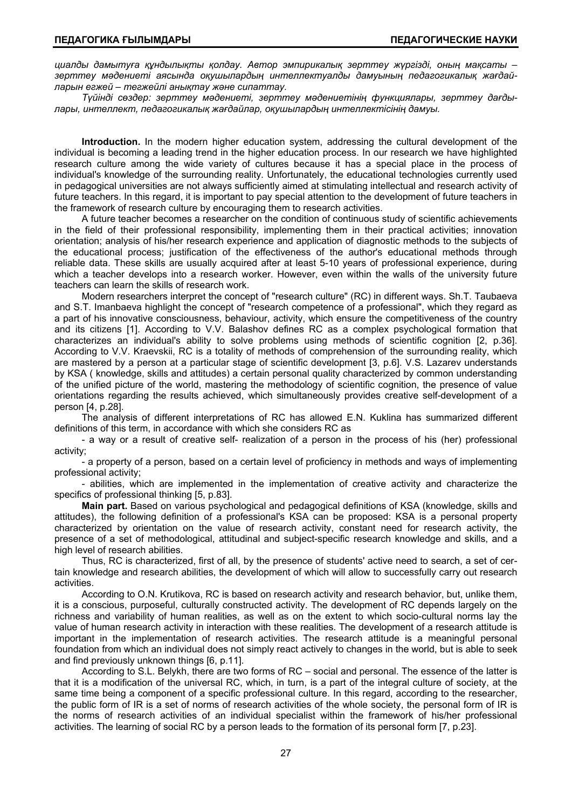*циалды дамытуға құндылықты қолдау. Автор эмпирикалық зерттеу жүргізді, оның мақсаты – зерттеу мəдениеті аясында оқушылардың интеллектуалды дамуының педагогикалық жағдайларын егжей – тегжейлі анықтау жəне сипаттау.* 

*Түйінді сөздер: зерттеу мəдениеті, зерттеу мəдениетінің функциялары, зерттеу дағдылары, интеллект, педагогикалық жағдайлар, оқушылардың интеллектісінің дамуы.* 

**Introduction.** In the modern higher education system, addressing the cultural development of the individual is becoming a leading trend in the higher education process. In our research we have highlighted research culture among the wide variety of cultures because it has a special place in the process of individual's knowledge of the surrounding reality. Unfortunately, the educational technologies currently used in pedagogical universities are not always sufficiently aimed at stimulating intellectual and research activity of future teachers. In this regard, it is important to pay special attention to the development of future teachers in the framework of research culture by encouraging them to research activities.

A future teacher becomes a researcher on the condition of continuous study of scientific achievements in the field of their professional responsibility, implementing them in their practical activities; innovation orientation; analysis of his/her research experience and application of diagnostic methods to the subjects of the educational process; justification of the effectiveness of the author's educational methods through reliable data. These skills are usually acquired after at least 5-10 years of professional experience, during which a teacher develops into a research worker. However, even within the walls of the university future teachers can learn the skills of research work.

Modern researchers interpret the concept of "research culture" (RC) in different ways. Sh.T. Taubaeva and S.T. Imanbaeva highlight the concept of "research competence of a professional", which they regard as a part of his innovative consciousness, behaviour, activity, which ensure the competitiveness of the country and its citizens [1]. According to V.V. Balashov defines RC as a complex psychological formation that characterizes an individual's ability to solve problems using methods of scientific cognition [2, р.36]. According to V.V. Kraevskii, RC is a totality of methods of comprehension of the surrounding reality, which are mastered by a person at a particular stage of scientific development [3, р.6]. V.S. Lazarev understands by KSA ( knowledge, skills and attitudes) a certain personal quality characterized by common understanding of the unified picture of the world, mastering the methodology of scientific cognition, the presence of value orientations regarding the results achieved, which simultaneously provides creative self-development of a person [4, р.28].

The analysis of different interpretations of RC has allowed E.N. Kuklina has summarized different definitions of this term, in accordance with which she considers RC as

- a way or a result of creative self- realization of a person in the process of his (her) professional activity;

- a property of a person, based on a certain level of proficiency in methods and ways of implementing professional activity;

- abilities, which are implemented in the implementation of creative activity and characterize the specifics of professional thinking [5, p.83].

**Main part.** Based on various psychological and pedagogical definitions of KSA (knowledge, skills and attitudes), the following definition of a professional's KSA can be proposed: KSA is a personal property characterized by orientation on the value of research activity, constant need for research activity, the presence of a set of methodological, attitudinal and subject-specific research knowledge and skills, and a high level of research abilities.

Thus, RC is characterized, first of all, by the presence of students' active need to search, a set of certain knowledge and research abilities, the development of which will allow to successfully carry out research activities.

According to O.N. Krutikova, RC is based on research activity and research behavior, but, unlike them, it is a conscious, purposeful, culturally constructed activity. The development of RC depends largely on the richness and variability of human realities, as well as on the extent to which socio-cultural norms lay the value of human research activity in interaction with these realities. The development of a research attitude is important in the implementation of research activities. The research attitude is a meaningful personal foundation from which an individual does not simply react actively to changes in the world, but is able to seek and find previously unknown things [6, р.11].

According to S.L. Belykh, there are two forms of RC – social and personal. The essence of the latter is that it is a modification of the universal RC, which, in turn, is a part of the integral culture of society, at the same time being a component of a specific professional culture. In this regard, according to the researcher, the public form of IR is a set of norms of research activities of the whole society, the personal form of IR is the norms of research activities of an individual specialist within the framework of his/her professional activities. The learning of social RC by a person leads to the formation of its personal form [7, р.23].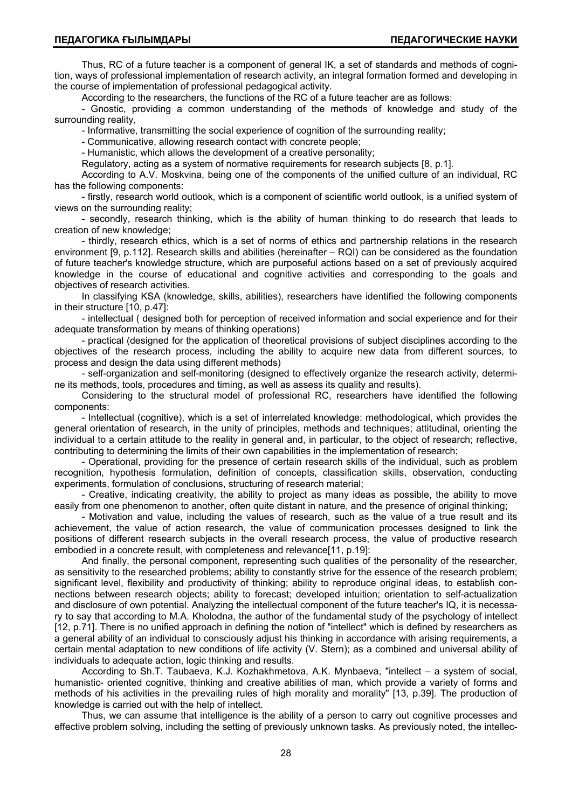Thus, RC of a future teacher is a component of general IK, a set of standards and methods of cognition, ways of professional implementation of research activity, an integral formation formed and developing in the course of implementation of professional pedagogical activity.

According to the researchers, the functions of the RC of a future teacher are as follows:

- Gnostic, providing a common understanding of the methods of knowledge and study of the surrounding reality,

- Informative, transmitting the social experience of cognition of the surrounding reality;

- Communicative, allowing research contact with concrete people;

- Humanistic, which allows the development of a creative personality;

Regulatory, acting as a system of normative requirements for research subjects [8, р.1].

According to A.V. Moskvina, being one of the components of the unified culture of an individual, RC has the following components:

- firstly, research world outlook, which is a component of scientific world outlook, is a unified system of views on the surrounding reality;

- secondly, research thinking, which is the ability of human thinking to do research that leads to creation of new knowledge;

- thirdly, research ethics, which is a set of norms of ethics and partnership relations in the research environment [9, р.112]. Research skills and abilities (hereinafter – RQI) can be considered as the foundation of future teacher's knowledge structure, which are purposeful actions based on a set of previously acquired knowledge in the course of educational and cognitive activities and corresponding to the goals and objectives of research activities.

In classifying KSA (knowledge, skills, abilities), researchers have identified the following components in their structure [10, р.47]:

- intellectual ( designed both for perception of received information and social experience and for their adequate transformation by means of thinking operations)

- practical (designed for the application of theoretical provisions of subject disciplines according to the objectives of the research process, including the ability to acquire new data from different sources, to process and design the data using different methods)

- self-organization and self-monitoring (designed to effectively organize the research activity, determine its methods, tools, procedures and timing, as well as assess its quality and results).

Considering to the structural model of professional RC, researchers have identified the following components:

- Intellectual (cognitive), which is a set of interrelated knowledge: methodological, which provides the general orientation of research, in the unity of principles, methods and techniques; attitudinal, orienting the individual to a certain attitude to the reality in general and, in particular, to the object of research; reflective, contributing to determining the limits of their own capabilities in the implementation of research;

- Operational, providing for the presence of certain research skills of the individual, such as problem recognition, hypothesis formulation, definition of concepts, classification skills, observation, conducting experiments, formulation of conclusions, structuring of research material;

- Creative, indicating creativity, the ability to project as many ideas as possible, the ability to move easily from one phenomenon to another, often quite distant in nature, and the presence of original thinking;

- Motivation and value, including the values of research, such as the value of a true result and its achievement, the value of action research, the value of communication processes designed to link the positions of different research subjects in the overall research process, the value of productive research embodied in a concrete result, with completeness and relevance<sup>[11</sup>, p.19]:

And finally, the personal component, representing such qualities of the personality of the researcher, as sensitivity to the researched problems; ability to constantly strive for the essence of the research problem; significant level, flexibility and productivity of thinking; ability to reproduce original ideas, to establish connections between research objects; ability to forecast; developed intuition; orientation to self-actualization and disclosure of own potential. Analyzing the intellectual component of the future teacher's IQ, it is necessary to say that according to M.A. Kholodna, the author of the fundamental study of the psychology of intellect [12, p.71]. There is no unified approach in defining the notion of "intellect" which is defined by researchers as a general ability of an individual to consciously adjust his thinking in accordance with arising requirements, a certain mental adaptation to new conditions of life activity (V. Stern); as a combined and universal ability of individuals to adequate action, logic thinking and results.

According to Sh.T. Taubaeva, K.J. Kozhakhmetova, A.K. Mynbaeva, "intellect – a system of social, humanistic- oriented cognitive, thinking and creative abilities of man, which provide a variety of forms and methods of his activities in the prevailing rules of high morality and morality" [13, p.39]. The production of knowledge is carried out with the help of intellect.

Thus, we can assume that intelligence is the ability of a person to carry out cognitive processes and effective problem solving, including the setting of previously unknown tasks. As previously noted, the intellec-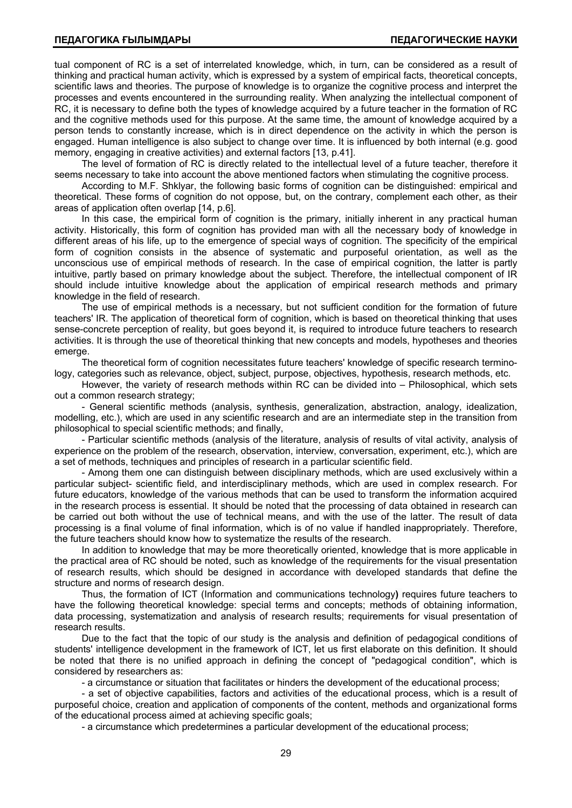tual component of RC is a set of interrelated knowledge, which, in turn, can be considered as a result of thinking and practical human activity, which is expressed by a system of empirical facts, theoretical concepts, scientific laws and theories. The purpose of knowledge is to organize the cognitive process and interpret the processes and events encountered in the surrounding reality. When analyzing the intellectual component of RC, it is necessary to define both the types of knowledge acquired by a future teacher in the formation of RC and the cognitive methods used for this purpose. At the same time, the amount of knowledge acquired by a person tends to constantly increase, which is in direct dependence on the activity in which the person is engaged. Human intelligence is also subject to change over time. It is influenced by both internal (e.g. good memory, engaging in creative activities) and external factors [13, p.41].

The level of formation of RC is directly related to the intellectual level of a future teacher, therefore it seems necessary to take into account the above mentioned factors when stimulating the cognitive process.

According to M.F. Shklyar, the following basic forms of cognition can be distinguished: empirical and theoretical. These forms of cognition do not oppose, but, on the contrary, complement each other, as their areas of application often overlap [14, р.6].

In this case, the empirical form of cognition is the primary, initially inherent in any practical human activity. Historically, this form of cognition has provided man with all the necessary body of knowledge in different areas of his life, up to the emergence of special ways of cognition. The specificity of the empirical form of cognition consists in the absence of systematic and purposeful orientation, as well as the unconscious use of empirical methods of research. In the case of empirical cognition, the latter is partly intuitive, partly based on primary knowledge about the subject. Therefore, the intellectual component of IR should include intuitive knowledge about the application of empirical research methods and primary knowledge in the field of research.

The use of empirical methods is a necessary, but not sufficient condition for the formation of future teachers' IR. The application of theoretical form of cognition, which is based on theoretical thinking that uses sense-concrete perception of reality, but goes beyond it, is required to introduce future teachers to research activities. It is through the use of theoretical thinking that new concepts and models, hypotheses and theories emerge.

The theoretical form of cognition necessitates future teachers' knowledge of specific research terminology, categories such as relevance, object, subject, purpose, objectives, hypothesis, research methods, etc.

However, the variety of research methods within RC can be divided into – Philosophical, which sets out a common research strategy;

- General scientific methods (analysis, synthesis, generalization, abstraction, analogy, idealization, modelling, etc.), which are used in any scientific research and are an intermediate step in the transition from philosophical to special scientific methods; and finally,

- Particular scientific methods (analysis of the literature, analysis of results of vital activity, analysis of experience on the problem of the research, observation, interview, conversation, experiment, etc.), which are a set of methods, techniques and principles of research in a particular scientific field.

- Among them one can distinguish between disciplinary methods, which are used exclusively within a particular subject- scientific field, and interdisciplinary methods, which are used in complex research. For future educators, knowledge of the various methods that can be used to transform the information acquired in the research process is essential. It should be noted that the processing of data obtained in research can be carried out both without the use of technical means, and with the use of the latter. The result of data processing is a final volume of final information, which is of no value if handled inappropriately. Therefore, the future teachers should know how to systematize the results of the research.

In addition to knowledge that may be more theoretically oriented, knowledge that is more applicable in the practical area of RC should be noted, such as knowledge of the requirements for the visual presentation of research results, which should be designed in accordance with developed standards that define the structure and norms of research design.

Thus, the formation of ICT (Information and communications technology**)** requires future teachers to have the following theoretical knowledge: special terms and concepts; methods of obtaining information, data processing, systematization and analysis of research results; requirements for visual presentation of research results.

Due to the fact that the topic of our study is the analysis and definition of pedagogical conditions of students' intelligence development in the framework of ICT, let us first elaborate on this definition. It should be noted that there is no unified approach in defining the concept of "pedagogical condition", which is considered by researchers as:

- a circumstance or situation that facilitates or hinders the development of the educational process;

- a set of objective capabilities, factors and activities of the educational process, which is a result of purposeful choice, creation and application of components of the content, methods and organizational forms of the educational process aimed at achieving specific goals;

- a circumstance which predetermines a particular development of the educational process;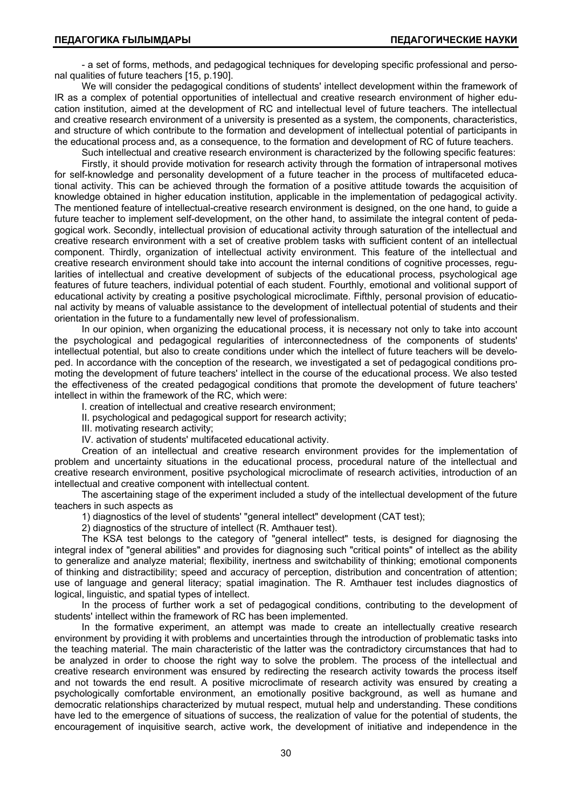- a set of forms, methods, and pedagogical techniques for developing specific professional and personal qualities of future teachers [15, р.190].

We will consider the pedagogical conditions of students' intellect development within the framework of IR as a complex of potential opportunities of intellectual and creative research environment of higher education institution, aimed at the development of RC and intellectual level of future teachers. The intellectual and creative research environment of a university is presented as a system, the components, characteristics, and structure of which contribute to the formation and development of intellectual potential of participants in the educational process and, as a consequence, to the formation and development of RC of future teachers.

Such intellectual and creative research environment is characterized by the following specific features:

Firstly, it should provide motivation for research activity through the formation of intrapersonal motives for self-knowledge and personality development of a future teacher in the process of multifaceted educational activity. This can be achieved through the formation of a positive attitude towards the acquisition of knowledge obtained in higher education institution, applicable in the implementation of pedagogical activity. The mentioned feature of intellectual-creative research environment is designed, on the one hand, to guide a future teacher to implement self-development, on the other hand, to assimilate the integral content of pedagogical work. Secondly, intellectual provision of educational activity through saturation of the intellectual and creative research environment with a set of creative problem tasks with sufficient content of an intellectual component. Thirdly, organization of intellectual activity environment. This feature of the intellectual and creative research environment should take into account the internal conditions of cognitive processes, regularities of intellectual and creative development of subjects of the educational process, psychological age features of future teachers, individual potential of each student. Fourthly, emotional and volitional support of educational activity by creating a positive psychological microclimate. Fifthly, personal provision of educational activity by means of valuable assistance to the development of intellectual potential of students and their orientation in the future to a fundamentally new level of professionalism.

In our opinion, when organizing the educational process, it is necessary not only to take into account the psychological and pedagogical regularities of interconnectedness of the components of students' intellectual potential, but also to create conditions under which the intellect of future teachers will be developed. In accordance with the conception of the research, we investigated a set of pedagogical conditions promoting the development of future teachers' intellect in the course of the educational process. We also tested the effectiveness of the created pedagogical conditions that promote the development of future teachers' intellect in within the framework of the RC, which were:

I. creation of intellectual and creative research environment;

II. psychological and pedagogical support for research activity;

III. motivating research activity;

IV. activation of students' multifaceted educational activity.

Creation of an intellectual and creative research environment provides for the implementation of problem and uncertainty situations in the educational process, procedural nature of the intellectual and creative research environment, positive psychological microclimate of research activities, introduction of an intellectual and creative component with intellectual content.

The ascertaining stage of the experiment included a study of the intellectual development of the future teachers in such aspects as

1) diagnostics of the level of students' "general intellect" development (CAT test);

2) diagnostics of the structure of intellect (R. Amthauer test).

The KSA test belongs to the category of "general intellect" tests, is designed for diagnosing the integral index of "general abilities" and provides for diagnosing such "critical points" of intellect as the ability to generalize and analyze material; flexibility, inertness and switchability of thinking; emotional components of thinking and distractibility; speed and accuracy of perception, distribution and concentration of attention; use of language and general literacy; spatial imagination. The R. Amthauer test includes diagnostics of logical, linguistic, and spatial types of intellect.

In the process of further work a set of pedagogical conditions, contributing to the development of students' intellect within the framework of RC has been implemented.

In the formative experiment, an attempt was made to create an intellectually creative research environment by providing it with problems and uncertainties through the introduction of problematic tasks into the teaching material. The main characteristic of the latter was the contradictory circumstances that had to be analyzed in order to choose the right way to solve the problem. The process of the intellectual and creative research environment was ensured by redirecting the research activity towards the process itself and not towards the end result. A positive microclimate of research activity was ensured by creating a psychologically comfortable environment, an emotionally positive background, as well as humane and democratic relationships characterized by mutual respect, mutual help and understanding. These conditions have led to the emergence of situations of success, the realization of value for the potential of students, the encouragement of inquisitive search, active work, the development of initiative and independence in the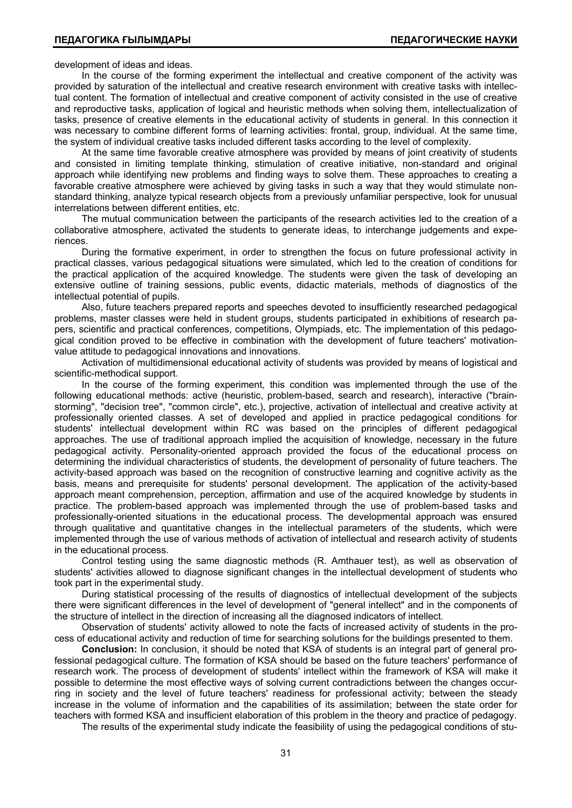development of ideas and ideas.

In the course of the forming experiment the intellectual and creative component of the activity was provided by saturation of the intellectual and creative research environment with creative tasks with intellectual content. The formation of intellectual and creative component of activity consisted in the use of creative and reproductive tasks, application of logical and heuristic methods when solving them, intellectualization of tasks, presence of creative elements in the educational activity of students in general. In this connection it was necessary to combine different forms of learning activities: frontal, group, individual. At the same time, the system of individual creative tasks included different tasks according to the level of complexity.

At the same time favorable creative atmosphere was provided by means of joint creativity of students and consisted in limiting template thinking, stimulation of creative initiative, non-standard and original approach while identifying new problems and finding ways to solve them. These approaches to creating a favorable creative atmosphere were achieved by giving tasks in such a way that they would stimulate nonstandard thinking, analyze typical research objects from a previously unfamiliar perspective, look for unusual interrelations between different entities, etc.

The mutual communication between the participants of the research activities led to the creation of a collaborative atmosphere, activated the students to generate ideas, to interchange judgements and experiences.

During the formative experiment, in order to strengthen the focus on future professional activity in practical classes, various pedagogical situations were simulated, which led to the creation of conditions for the practical application of the acquired knowledge. The students were given the task of developing an extensive outline of training sessions, public events, didactic materials, methods of diagnostics of the intellectual potential of pupils.

Also, future teachers prepared reports and speeches devoted to insufficiently researched pedagogical problems, master classes were held in student groups, students participated in exhibitions of research papers, scientific and practical conferences, competitions, Olympiads, etc. The implementation of this pedagogical condition proved to be effective in combination with the development of future teachers' motivationvalue attitude to pedagogical innovations and innovations.

Activation of multidimensional educational activity of students was provided by means of logistical and scientific-methodical support.

In the course of the forming experiment, this condition was implemented through the use of the following educational methods: active (heuristic, problem-based, search and research), interactive ("brainstorming", "decision tree", "common circle", etc.), projective, activation of intellectual and creative activity at professionally oriented classes. A set of developed and applied in practice pedagogical conditions for students' intellectual development within RC was based on the principles of different pedagogical approaches. The use of traditional approach implied the acquisition of knowledge, necessary in the future pedagogical activity. Personality-oriented approach provided the focus of the educational process on determining the individual characteristics of students, the development of personality of future teachers. The activity-based approach was based on the recognition of constructive learning and cognitive activity as the basis, means and prerequisite for students' personal development. The application of the activity-based approach meant comprehension, perception, affirmation and use of the acquired knowledge by students in practice. The problem-based approach was implemented through the use of problem-based tasks and professionally-oriented situations in the educational process. The developmental approach was ensured through qualitative and quantitative changes in the intellectual parameters of the students, which were implemented through the use of various methods of activation of intellectual and research activity of students in the educational process.

Control testing using the same diagnostic methods (R. Amthauer test), as well as observation of students' activities allowed to diagnose significant changes in the intellectual development of students who took part in the experimental study.

During statistical processing of the results of diagnostics of intellectual development of the subjects there were significant differences in the level of development of "general intellect" and in the components of the structure of intellect in the direction of increasing all the diagnosed indicators of intellect.

Observation of students' activity allowed to note the facts of increased activity of students in the process of educational activity and reduction of time for searching solutions for the buildings presented to them.

**Conclusion:** In conclusion, it should be noted that KSA of students is an integral part of general professional pedagogical culture. The formation of KSA should be based on the future teachers' performance of research work. The process of development of students' intellect within the framework of KSA will make it possible to determine the most effective ways of solving current contradictions between the changes occurring in society and the level of future teachers' readiness for professional activity; between the steady increase in the volume of information and the capabilities of its assimilation; between the state order for teachers with formed KSA and insufficient elaboration of this problem in the theory and practice of pedagogy.

The results of the experimental study indicate the feasibility of using the pedagogical conditions of stu-